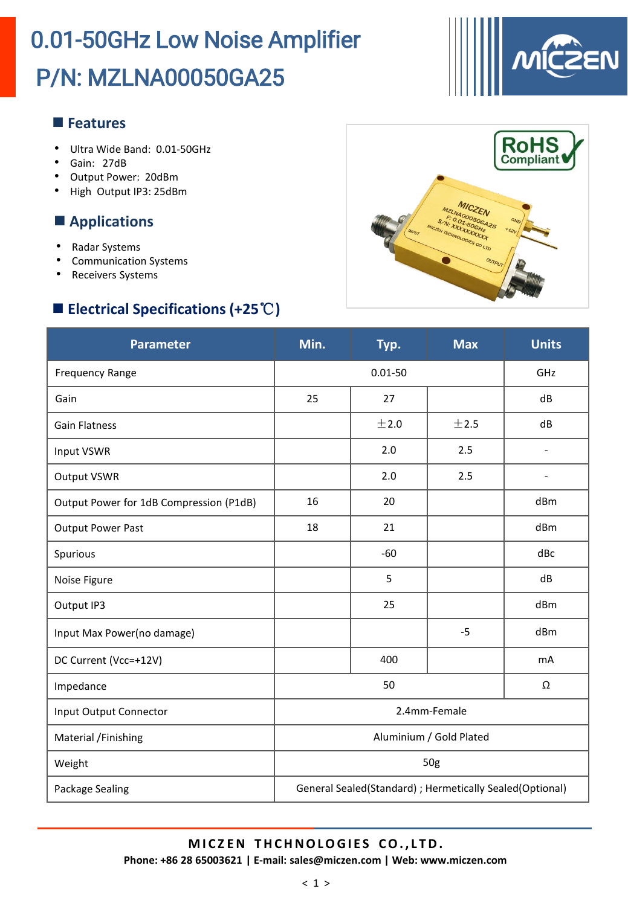

- Ultra Wide Band: 0.01-50GHz
- Gain: 27dB
- Output Power: 20dBm
- High Output IP3: 25dBm

### **Applications**

- Radar Systems
- Communication Systems
- Receivers Systems

## **Electrical Specifications (+25**℃**)**



| <b>Parameter</b>                        | Min.                                                     | Typ.  | <b>Max</b> | <b>Units</b>   |
|-----------------------------------------|----------------------------------------------------------|-------|------------|----------------|
| <b>Frequency Range</b>                  | $0.01 - 50$                                              |       |            | GHz            |
| Gain                                    | 25                                                       | 27    |            | dB             |
| <b>Gain Flatness</b>                    |                                                          | ±2.0  | ±2.5       | dB             |
| Input VSWR                              |                                                          | 2.0   | 2.5        | $\overline{a}$ |
| <b>Output VSWR</b>                      |                                                          | 2.0   | 2.5        | $\overline{a}$ |
| Output Power for 1dB Compression (P1dB) | 16                                                       | 20    |            | dBm            |
| <b>Output Power Past</b>                | 18                                                       | 21    |            | dBm            |
| Spurious                                |                                                          | $-60$ |            | dBc            |
| Noise Figure                            |                                                          | 5     |            | dB             |
| Output IP3                              |                                                          | 25    |            | dBm            |
| Input Max Power(no damage)              |                                                          |       | $-5$       | dBm            |
| DC Current (Vcc=+12V)                   |                                                          | 400   |            | <b>mA</b>      |
| Impedance                               | 50                                                       |       |            | Ω              |
| Input Output Connector                  | 2.4mm-Female                                             |       |            |                |
| Material /Finishing                     | Aluminium / Gold Plated                                  |       |            |                |
| Weight                                  | 50g                                                      |       |            |                |
| Package Sealing                         | General Sealed(Standard) ; Hermetically Sealed(Optional) |       |            |                |

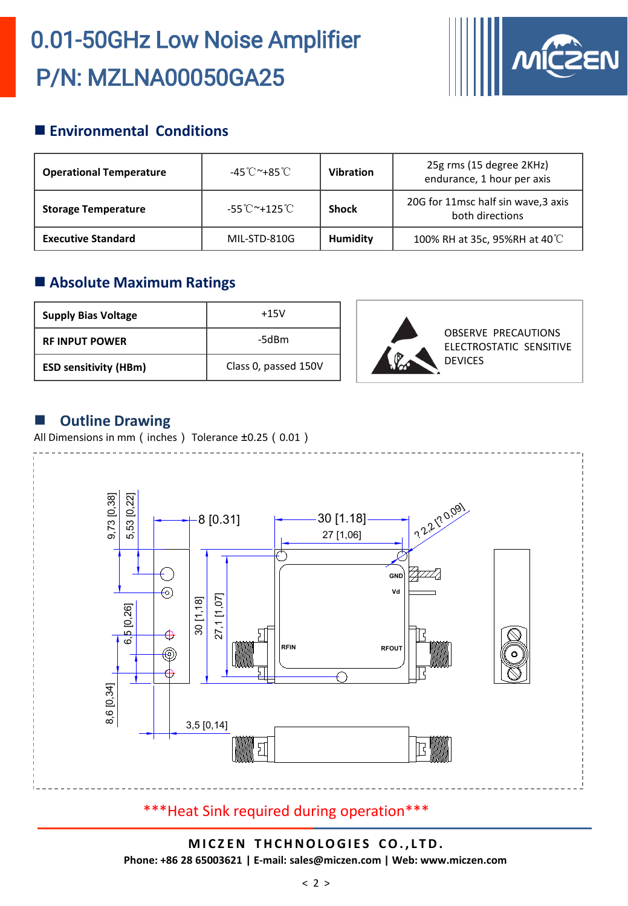

### **Environmental Conditions**

| <b>Operational Temperature</b> | -45℃~+85℃                                          | <b>Vibration</b> | 25g rms (15 degree 2KHz)<br>endurance, 1 hour per axis |
|--------------------------------|----------------------------------------------------|------------------|--------------------------------------------------------|
| <b>Storage Temperature</b>     | $-55^{\circ}$ C $^{\sim}$ +125 $^{\circ}$ C $^{-}$ | <b>Shock</b>     | 20G for 11msc half sin wave, 3 axis<br>both directions |
| <b>Executive Standard</b>      | MIL-STD-810G                                       | Humidity         | 100% RH at 35c, 95%RH at 40°C                          |

### **Absolute Maximum Ratings**

| <b>Supply Bias Voltage</b>   | $+15V$               |
|------------------------------|----------------------|
| <b>RE INPUT POWER</b>        | -5dBm                |
| <b>ESD sensitivity (HBm)</b> | Class 0, passed 150V |



### $\blacksquare$  Outline Drawing

All Dimensions in mm (inches) Tolerance ±0.25 (0.01)



### \*\*\*Heat Sink required during operation\*\*\*

#### **M I C Z EN THCHNOLOGI E S CO. , L TD. Phone: +86 28 65003621 | E-mail: sales@miczen.com | Web: www.miczen.com**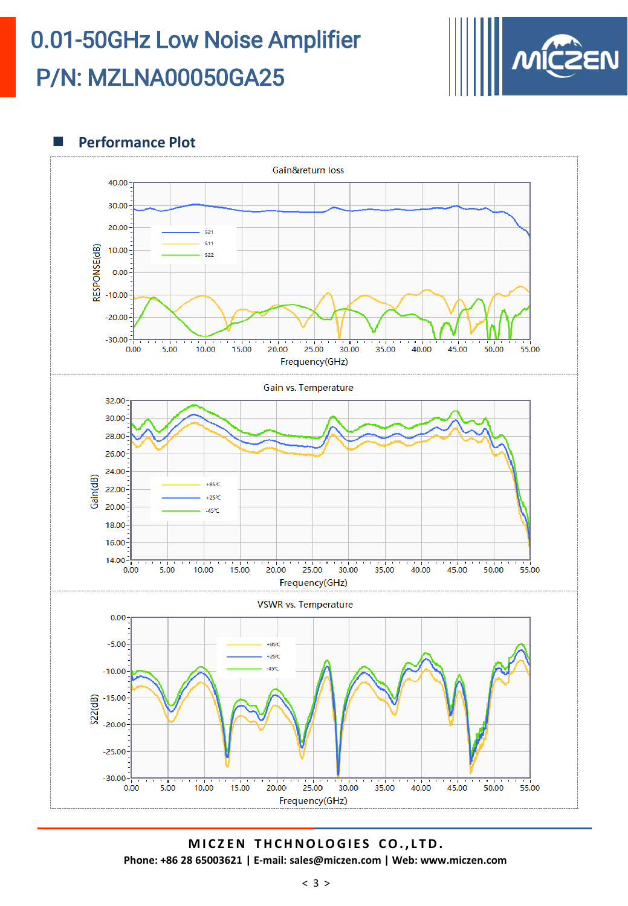

**Performance Plot** 



**M I C Z EN THCHNOLOGI E S CO. , L TD. Phone: +86 28 65003621 | E-mail: sales@miczen.com | Web: www.miczen.com**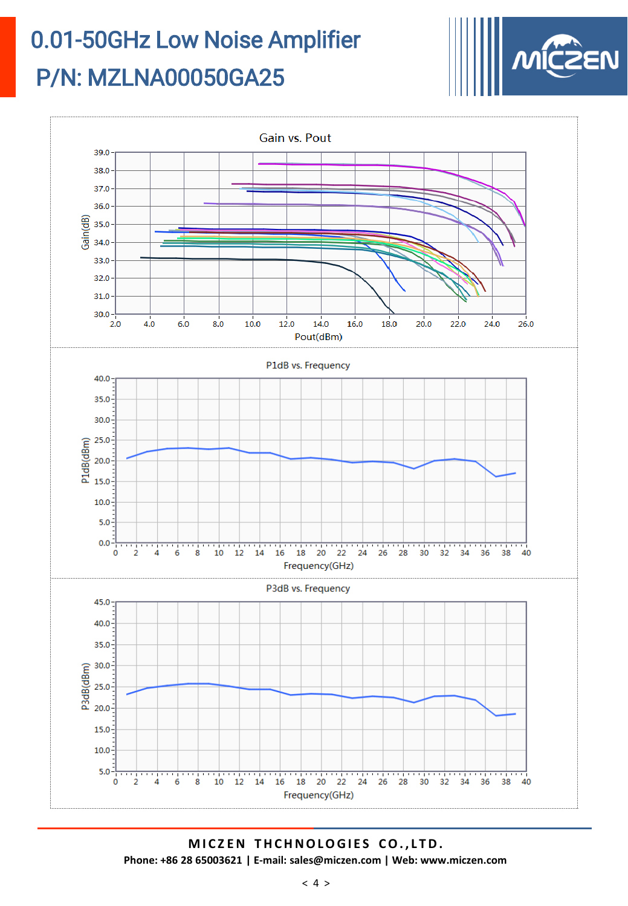



**M I C Z EN THCHNOLOGI E S CO. , L TD. Phone: +86 28 65003621 | E-mail: sales@miczen.com | Web: www.miczen.com**